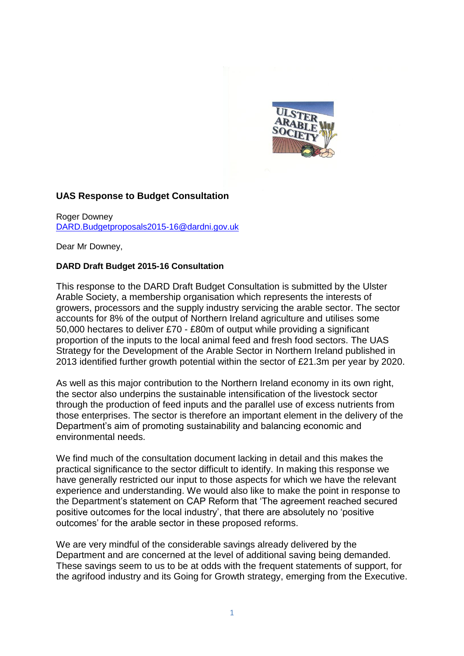

# **UAS Response to Budget Consultation**

Roger Downey [DARD.Budgetproposals2015-16@dardni.gov.uk](mailto:DARD.Budgetproposals2015-16@dardni.gov.uk)

Dear Mr Downey,

#### **DARD Draft Budget 2015-16 Consultation**

This response to the DARD Draft Budget Consultation is submitted by the Ulster Arable Society, a membership organisation which represents the interests of growers, processors and the supply industry servicing the arable sector. The sector accounts for 8% of the output of Northern Ireland agriculture and utilises some 50,000 hectares to deliver £70 - £80m of output while providing a significant proportion of the inputs to the local animal feed and fresh food sectors. The UAS Strategy for the Development of the Arable Sector in Northern Ireland published in 2013 identified further growth potential within the sector of £21.3m per year by 2020.

As well as this major contribution to the Northern Ireland economy in its own right, the sector also underpins the sustainable intensification of the livestock sector through the production of feed inputs and the parallel use of excess nutrients from those enterprises. The sector is therefore an important element in the delivery of the Department's aim of promoting sustainability and balancing economic and environmental needs.

We find much of the consultation document lacking in detail and this makes the practical significance to the sector difficult to identify. In making this response we have generally restricted our input to those aspects for which we have the relevant experience and understanding. We would also like to make the point in response to the Department's statement on CAP Reform that 'The agreement reached secured positive outcomes for the local industry', that there are absolutely no 'positive outcomes' for the arable sector in these proposed reforms.

We are very mindful of the considerable savings already delivered by the Department and are concerned at the level of additional saving being demanded. These savings seem to us to be at odds with the frequent statements of support, for the agrifood industry and its Going for Growth strategy, emerging from the Executive.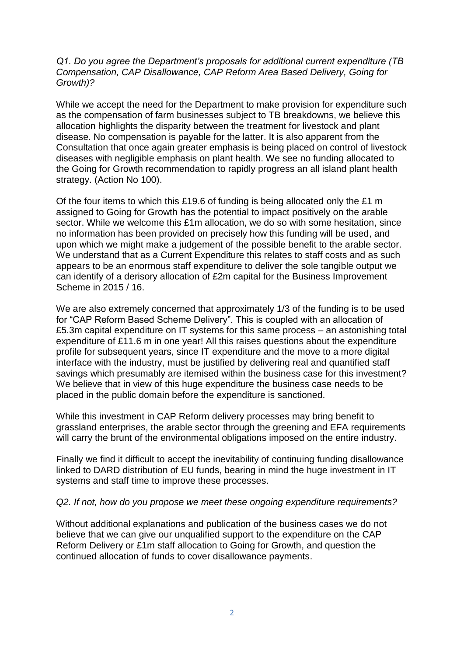## *Q1. Do you agree the Department's proposals for additional current expenditure (TB Compensation, CAP Disallowance, CAP Reform Area Based Delivery, Going for Growth)?*

While we accept the need for the Department to make provision for expenditure such as the compensation of farm businesses subject to TB breakdowns, we believe this allocation highlights the disparity between the treatment for livestock and plant disease. No compensation is payable for the latter. It is also apparent from the Consultation that once again greater emphasis is being placed on control of livestock diseases with negligible emphasis on plant health. We see no funding allocated to the Going for Growth recommendation to rapidly progress an all island plant health strategy. (Action No 100).

Of the four items to which this £19.6 of funding is being allocated only the £1 m assigned to Going for Growth has the potential to impact positively on the arable sector. While we welcome this £1m allocation, we do so with some hesitation, since no information has been provided on precisely how this funding will be used, and upon which we might make a judgement of the possible benefit to the arable sector. We understand that as a Current Expenditure this relates to staff costs and as such appears to be an enormous staff expenditure to deliver the sole tangible output we can identify of a derisory allocation of £2m capital for the Business Improvement Scheme in 2015 / 16.

We are also extremely concerned that approximately 1/3 of the funding is to be used for "CAP Reform Based Scheme Delivery". This is coupled with an allocation of £5.3m capital expenditure on IT systems for this same process – an astonishing total expenditure of £11.6 m in one year! All this raises questions about the expenditure profile for subsequent years, since IT expenditure and the move to a more digital interface with the industry, must be justified by delivering real and quantified staff savings which presumably are itemised within the business case for this investment? We believe that in view of this huge expenditure the business case needs to be placed in the public domain before the expenditure is sanctioned.

While this investment in CAP Reform delivery processes may bring benefit to grassland enterprises, the arable sector through the greening and EFA requirements will carry the brunt of the environmental obligations imposed on the entire industry.

Finally we find it difficult to accept the inevitability of continuing funding disallowance linked to DARD distribution of EU funds, bearing in mind the huge investment in IT systems and staff time to improve these processes.

## *Q2. If not, how do you propose we meet these ongoing expenditure requirements?*

Without additional explanations and publication of the business cases we do not believe that we can give our unqualified support to the expenditure on the CAP Reform Delivery or £1m staff allocation to Going for Growth, and question the continued allocation of funds to cover disallowance payments.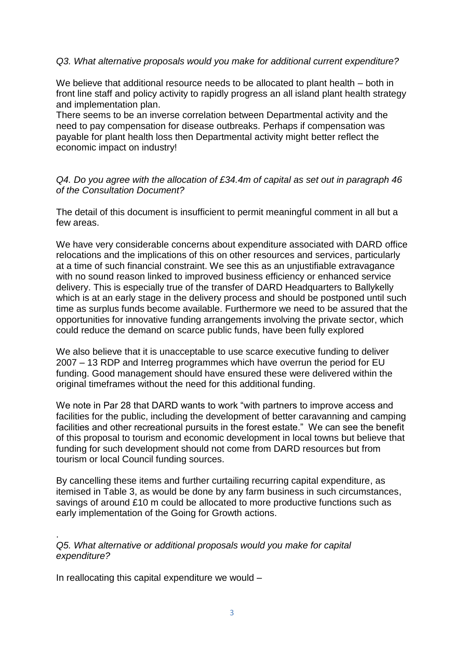## *Q3. What alternative proposals would you make for additional current expenditure?*

We believe that additional resource needs to be allocated to plant health – both in front line staff and policy activity to rapidly progress an all island plant health strategy and implementation plan.

There seems to be an inverse correlation between Departmental activity and the need to pay compensation for disease outbreaks. Perhaps if compensation was payable for plant health loss then Departmental activity might better reflect the economic impact on industry!

*Q4. Do you agree with the allocation of £34.4m of capital as set out in paragraph 46 of the Consultation Document?* 

The detail of this document is insufficient to permit meaningful comment in all but a few areas.

We have very considerable concerns about expenditure associated with DARD office relocations and the implications of this on other resources and services, particularly at a time of such financial constraint. We see this as an unjustifiable extravagance with no sound reason linked to improved business efficiency or enhanced service delivery. This is especially true of the transfer of DARD Headquarters to Ballykelly which is at an early stage in the delivery process and should be postponed until such time as surplus funds become available. Furthermore we need to be assured that the opportunities for innovative funding arrangements involving the private sector, which could reduce the demand on scarce public funds, have been fully explored

We also believe that it is unacceptable to use scarce executive funding to deliver 2007 – 13 RDP and Interreg programmes which have overrun the period for EU funding. Good management should have ensured these were delivered within the original timeframes without the need for this additional funding.

We note in Par 28 that DARD wants to work "with partners to improve access and facilities for the public, including the development of better caravanning and camping facilities and other recreational pursuits in the forest estate." We can see the benefit of this proposal to tourism and economic development in local towns but believe that funding for such development should not come from DARD resources but from tourism or local Council funding sources.

By cancelling these items and further curtailing recurring capital expenditure, as itemised in Table 3, as would be done by any farm business in such circumstances, savings of around £10 m could be allocated to more productive functions such as early implementation of the Going for Growth actions.

. *Q5. What alternative or additional proposals would you make for capital expenditure?* 

In reallocating this capital expenditure we would –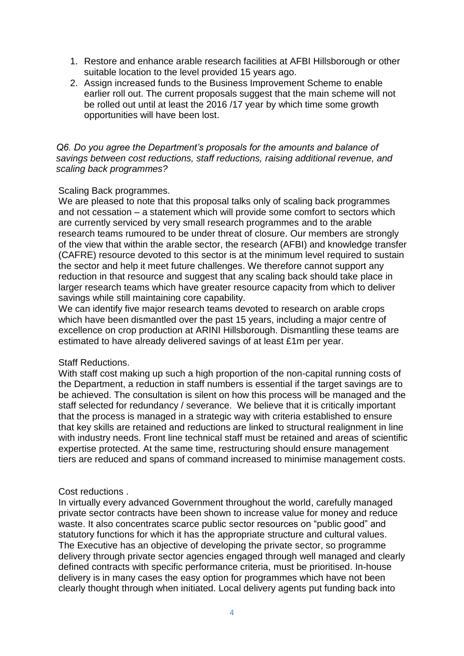- 1. Restore and enhance arable research facilities at AFBI Hillsborough or other suitable location to the level provided 15 years ago.
- 2. Assign increased funds to the Business Improvement Scheme to enable earlier roll out. The current proposals suggest that the main scheme will not be rolled out until at least the 2016 /17 year by which time some growth opportunities will have been lost.

### *Q6. Do you agree the Department's proposals for the amounts and balance of savings between cost reductions, staff reductions, raising additional revenue, and scaling back programmes?*

### Scaling Back programmes.

We are pleased to note that this proposal talks only of scaling back programmes and not cessation – a statement which will provide some comfort to sectors which are currently serviced by very small research programmes and to the arable research teams rumoured to be under threat of closure. Our members are strongly of the view that within the arable sector, the research (AFBI) and knowledge transfer (CAFRE) resource devoted to this sector is at the minimum level required to sustain the sector and help it meet future challenges. We therefore cannot support any reduction in that resource and suggest that any scaling back should take place in larger research teams which have greater resource capacity from which to deliver savings while still maintaining core capability.

We can identify five major research teams devoted to research on arable crops which have been dismantled over the past 15 years, including a major centre of excellence on crop production at ARINI Hillsborough. Dismantling these teams are estimated to have already delivered savings of at least £1m per year.

#### Staff Reductions.

With staff cost making up such a high proportion of the non-capital running costs of the Department, a reduction in staff numbers is essential if the target savings are to be achieved. The consultation is silent on how this process will be managed and the staff selected for redundancy / severance. We believe that it is critically important that the process is managed in a strategic way with criteria established to ensure that key skills are retained and reductions are linked to structural realignment in line with industry needs. Front line technical staff must be retained and areas of scientific expertise protected. At the same time, restructuring should ensure management tiers are reduced and spans of command increased to minimise management costs.

## Cost reductions .

In virtually every advanced Government throughout the world, carefully managed private sector contracts have been shown to increase value for money and reduce waste. It also concentrates scarce public sector resources on "public good" and statutory functions for which it has the appropriate structure and cultural values. The Executive has an objective of developing the private sector, so programme delivery through private sector agencies engaged through well managed and clearly defined contracts with specific performance criteria, must be prioritised. In-house delivery is in many cases the easy option for programmes which have not been clearly thought through when initiated. Local delivery agents put funding back into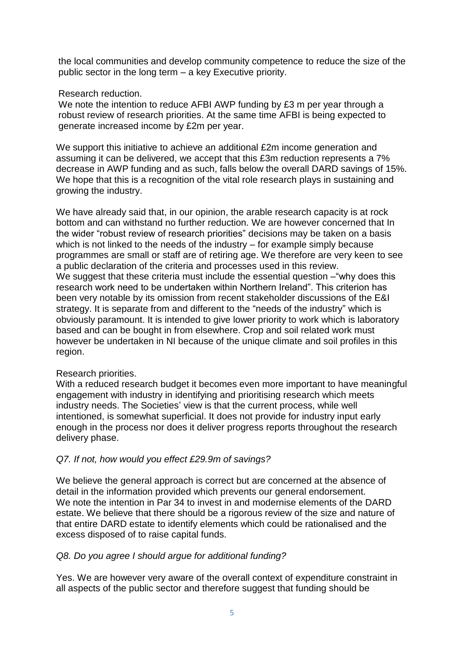the local communities and develop community competence to reduce the size of the public sector in the long term – a key Executive priority.

## Research reduction.

We note the intention to reduce AFBI AWP funding by £3 m per year through a robust review of research priorities. At the same time AFBI is being expected to generate increased income by £2m per year.

We support this initiative to achieve an additional £2m income generation and assuming it can be delivered, we accept that this £3m reduction represents a 7% decrease in AWP funding and as such, falls below the overall DARD savings of 15%. We hope that this is a recognition of the vital role research plays in sustaining and growing the industry.

We have already said that, in our opinion, the arable research capacity is at rock bottom and can withstand no further reduction. We are however concerned that In the wider "robust review of research priorities" decisions may be taken on a basis which is not linked to the needs of the industry – for example simply because programmes are small or staff are of retiring age. We therefore are very keen to see a public declaration of the criteria and processes used in this review. We suggest that these criteria must include the essential question – "why does this research work need to be undertaken within Northern Ireland". This criterion has been very notable by its omission from recent stakeholder discussions of the E&I strategy. It is separate from and different to the "needs of the industry" which is obviously paramount. It is intended to give lower priority to work which is laboratory based and can be bought in from elsewhere. Crop and soil related work must however be undertaken in NI because of the unique climate and soil profiles in this region.

## Research priorities.

With a reduced research budget it becomes even more important to have meaningful engagement with industry in identifying and prioritising research which meets industry needs. The Societies' view is that the current process, while well intentioned, is somewhat superficial. It does not provide for industry input early enough in the process nor does it deliver progress reports throughout the research delivery phase.

# *Q7. If not, how would you effect £29.9m of savings?*

We believe the general approach is correct but are concerned at the absence of detail in the information provided which prevents our general endorsement. We note the intention in Par 34 to invest in and modernise elements of the DARD estate. We believe that there should be a rigorous review of the size and nature of that entire DARD estate to identify elements which could be rationalised and the excess disposed of to raise capital funds.

# *Q8. Do you agree I should argue for additional funding?*

Yes. We are however very aware of the overall context of expenditure constraint in all aspects of the public sector and therefore suggest that funding should be